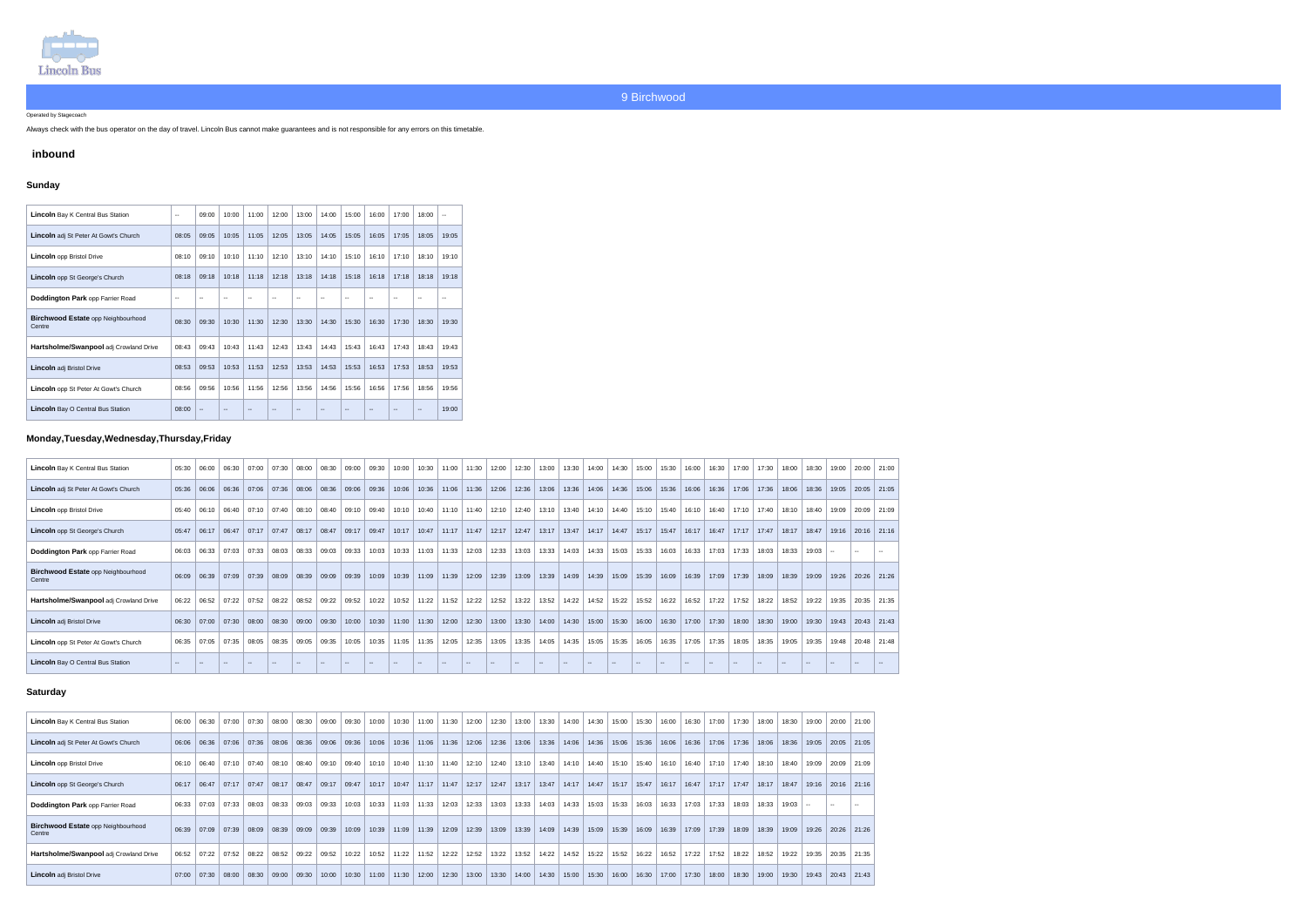

Operated by Stagecoach

Always check with the bus operator on the day of travel. Lincoln Bus cannot make guarantees and is not responsible for any errors on this timetable.

## **inbound**

## **Sunday**

| <b>Lincoln</b> Bay K Central Bus Station            | $\sim$                   | 09:00             | 10:00 | 11:00 | 12:00 | 13:00                    | 14:00 | 15:00 | 16:00 | 17:00 | 18:00 | $\mathbf{u}$ |
|-----------------------------------------------------|--------------------------|-------------------|-------|-------|-------|--------------------------|-------|-------|-------|-------|-------|--------------|
| <b>Lincoln</b> adj St Peter At Gowt's Church        | 08:05                    | 09:05             | 10:05 | 11:05 | 12:05 | 13:05                    | 14:05 | 15:05 | 16:05 | 17:05 | 18:05 | 19:05        |
| <b>Lincoln</b> opp Bristol Drive                    | 08:10                    | 09:10             | 10:10 | 11:10 | 12:10 | 13:10                    | 14:10 | 15:10 | 16:10 | 17:10 | 18:10 | 19:10        |
| Lincoln opp St George's Church                      | 08:18                    | 09:18             | 10:18 | 11:18 | 12:18 | 13:18                    | 14:18 | 15:18 | 16:18 | 17:18 | 18:18 | 19:18        |
| <b>Doddington Park opp Farrier Road</b>             | $\overline{\phantom{a}}$ |                   | $-$   | --    | --    | $\overline{\phantom{a}}$ | --    |       | --    | --    | --    | --           |
| <b>Birchwood Estate opp Neighbourhood</b><br>Centre | 08:30                    | 09:30             | 10:30 | 11:30 | 12:30 | 13:30                    | 14:30 | 15:30 | 16:30 | 17:30 | 18:30 | 19:30        |
| Hartsholme/Swanpool adj Crowland Drive              | 08:43                    | 09:43             | 10:43 | 11:43 | 12:43 | 13:43                    | 14:43 | 15:43 | 16:43 | 17:43 | 18:43 | 19:43        |
| <b>Lincoln</b> adj Bristol Drive                    | 08:53                    | 09:53             | 10:53 | 11:53 | 12:53 | 13:53                    | 14:53 | 15:53 | 16:53 | 17:53 | 18:53 | 19:53        |
| <b>Lincoln</b> opp St Peter At Gowt's Church        | 08:56                    | 09:56             | 10:56 | 11:56 | 12:56 | 13:56                    | 14:56 | 15:56 | 16:56 | 17:56 | 18:56 | 19:56        |
| <b>Lincoln</b> Bay O Central Bus Station            | 08:00                    | $\qquad \qquad -$ |       |       |       |                          |       |       |       |       |       | 19:00        |

## **Monday,Tuesday,Wednesday,Thursday,Friday**

| <b>Lincoln</b> Bay K Central Bus Station            | 05:30      | 06:00  | 06:30 | 07:00                 | $07:30$ 08:00 |               | 08:30  | 09:00         | 09:30 | 10:00 | 10:30 | 11:00   | 11:30                   | 12:00 | 12:30 | 13:00           | 13:30  | 14:00                                 | 14:30 | 15:00  | 15:30  | 16:00 | 16:30         | 17:00 | 17:30                    | 18:00           | 18:30                    | 19:00  | $20:00$ 21:00           |  |
|-----------------------------------------------------|------------|--------|-------|-----------------------|---------------|---------------|--------|---------------|-------|-------|-------|---------|-------------------------|-------|-------|-----------------|--------|---------------------------------------|-------|--------|--------|-------|---------------|-------|--------------------------|-----------------|--------------------------|--------|-------------------------|--|
| <b>Lincoln</b> adj St Peter At Gowt's Church        | 05:36      | 06:06  |       | 06:36   07:06   07:36 |               | 08:06         | 08:36  | 09:06         | 09:36 | 10:06 | 10:36 | 11:06   | 11:36                   | 12:06 |       | $12:36$ 13:06   |        | 13:36   14:06   14:36                 |       | 15:06  | 15:36  | 16:06 | 16:36         | 17:06 | 17:36                    | 18:06           | 18:36                    | 19:05  | 20:05 21:05             |  |
| <b>Lincoln</b> opp Bristol Drive                    | 05:40      | 06:10  | 06:40 | 07:10                 | 07:40         | 08:10         | 08:40  | 09:10         | 09:40 | 10:10 | 10:40 | 11:10   | 11:40                   | 12:10 | 12:40 | 13:10           | 13:40  | 14:10 14:40                           |       | 15:10  | 15:40  | 16:10 | 16:40         | 17:10 | 17:40                    | 18:10           | 18:40                    | 19:09  | 20:09 21:09             |  |
| Lincoln opp St George's Church                      | 05:47      | 06:17  | 06:47 | $\vert$ 07:17 07:47   |               | 08:17         | 08:47  | 09:17         | 09:47 | 10:17 |       |         | $10:47$   11:17   11:47 | 12:17 |       | $12.47$   13:17 |        | $13:47$   14:17   14:47               |       | 15:17  | 15:47  |       | 16:17   16:47 | 17:17 |                          | $17:47$   18:17 | 18:47                    |        | $19:16$   20:16   21:16 |  |
| Doddington Park opp Farrier Road                    | 06:03      | 06:33  | 07:03 | 07:33                 | 08:03         | 08:33         | 09:03  | 09:33         | 10:03 | 10:33 | 11:03 | 11:33   | 12:03                   | 12:33 | 13:03 | 13:33           | 14:03  | 14:33                                 | 15:03 | 15:33  | 16:03  | 16:33 | 17:03         | 17:33 | 18:03                    | 18:33           | 19:03                    |        |                         |  |
| <b>Birchwood Estate opp Neighbourhood</b><br>Centre | 06:09      | 06:39  |       | $07:09$ 07:39         | 08:09         | 08:39         | 09:09  | 09:39         | 10:09 | 10:39 | 11:09 | $11:39$ | 12:09                   | 12:39 |       |                 |        | 13:09   13:39   14:09   14:39   15:09 |       | 15:39  | 16:09  |       | 16:39 17:09   | 17:39 | 18:09                    | 18:39           | 19:09                    | 19:26  | 20:26 21:26             |  |
| Hartsholme/Swanpool adj Crowland Drive              | 06:22      | 06:52  | 07:22 | 07:52                 |               | $08:22$ 08:52 | 09:22  | 09:52         | 10:22 | 10:52 | 11:22 | 11:52   | 12:22                   | 12:52 | 13:22 | 13:52           | 14:22  | $14:52$   15:22                       |       | 15:52  | 16:22  | 16:52 | 17:22         | 17:52 | 18:22                    | 18:52           | 19:22                    | 19:35  | 20:35 21:35             |  |
| <b>Lincoln</b> adj Bristol Drive                    | 06:30      | 07:00  | 07:30 | 08:00                 | 08:30         | 09:00         | 09:30  | 10:00         | 10:30 | 11:00 | 11:30 | 12:00   | 12:30                   | 13:00 | 13:30 | 14:00           | 14:30  | 15:00                                 | 15:30 | 16:00  | 16:30  | 17:00 | 17:30         | 18:00 | 18:30                    | 19:00           | 19:30                    | 19:43  | $20:43$ 21:43           |  |
| Lincoln opp St Peter At Gowt's Church               | 06:35      | 07:05  | 07:35 | 08:05                 | 08:35         | 09:05         | 09:35  | 10:05         | 10:35 | 11:05 | 11:35 | 12:05   | 12:35                   | 13:05 | 13:35 | 14:05           | 14:35  | 15:05                                 | 15:35 | 16:05  | 16:35  | 17:05 | 17:35         | 18:05 | 18:35                    | 19:05           | 19:35                    | 19:48  | $20:48$ 21:48           |  |
| <b>Lincoln</b> Bay O Central Bus Station            | $\sim$ $-$ | $\sim$ |       | $\sim$ $\sim$         | $\sim$        | $\sim$        | $\sim$ | $\sim$ $\sim$ | $- -$ | $-1$  |       |         |                         |       |       | $- -$           | $\sim$ | $\overline{\phantom{a}}$              | $- -$ | $\sim$ | $\sim$ |       |               |       | $\overline{\phantom{a}}$ | $\sim$          | $\overline{\phantom{m}}$ | $\sim$ |                         |  |

## **Saturday**

| Lincoln Bay K Central Bus Station            | 06:00 | 06:30 | 07:00                 | 07:30 | 08:00 | 08:30 | $09:00$ 09:30 |       | 10:00 | 10:30 | 11:00         | 11:30 | 12:00 | 12:30 | 13:00         | 13:30 | 14:00 |       | $14:30$   15:00 | 15:30 | 16:00 | 16:30         | 17:00 | 17:30 | 18:00 | 18:30 | 19:00 |                     | 20:00 21:00   |
|----------------------------------------------|-------|-------|-----------------------|-------|-------|-------|---------------|-------|-------|-------|---------------|-------|-------|-------|---------------|-------|-------|-------|-----------------|-------|-------|---------------|-------|-------|-------|-------|-------|---------------------|---------------|
| Lincoln adj St Peter At Gowt's Church        | 06:06 | 06:36 | $\vert$ 07:06 $\vert$ | 07:36 | 08:06 | 08:36 | 09:06         | 09:36 | 10:06 | 10:36 | 11:06         | 11:36 | 12:06 | 12:36 | 13:06         | 13:36 | 14:06 | 14:36 | 15:06           | 15:36 | 16:06 | 16:36         | 17:06 | 17:36 | 18:06 | 18:36 | 19:05 |                     | $20:05$ 21:05 |
| <b>Lincoln</b> opp Bristol Drive             | 06:10 | 06:40 | 07:10                 | 07:40 | 08:10 | 08:40 | 09:10         | 09:40 | 10:10 | 10:40 | 11:10         | 11:40 | 12:10 | 12:40 | 13:10         | 13:40 | 14:10 | 14:40 | 15:10           | 15:40 | 16:10 | 16:40         | 17:10 | 17:40 | 18:10 | 18:40 | 19:09 | 20:09               | 21:09         |
| <b>Lincoln</b> opp St George's Church        | 06:17 | 06:47 | 07:17                 | 07:47 | 08:17 | 08:47 | 09:17         | 09:47 | 10:17 | 10:47 | $11:17$ 11:47 |       | 12:17 | 12:47 | $13:17$ 13:47 |       | 14:17 |       | $14:47$ 15:17   | 15:47 | 16:17 | $16:47$ 17:17 |       | 17:47 | 18:17 | 18:47 |       | $19:16$ 20:16 21:16 |               |
| Doddington Park opp Farrier Road             | 06:33 | 07:03 | 07:33                 | 08:03 | 08:33 |       | $09:03$ 09:33 | 10:03 | 10:33 | 11:03 | 11:33         | 12:03 | 12:33 | 13:03 | 13:33         | 14:03 | 14:33 | 15:03 | 15:33           | 16:03 | 16:33 | 17:03         | 17:33 | 18:03 | 18:33 | 19:03 |       | $\sim$              |               |
| Birchwood Estate opp Neighbourhood<br>Centre | 06:39 | 07:09 | 07:39                 | 08:09 | 08:39 | 09:09 | 09:39         | 10:09 | 10:39 | 11:09 | 11:39         | 12:09 | 12:39 | 13:09 | 13:39         | 14:09 | 14:39 | 15:09 | 15:39           | 16:09 | 16:39 | 17:09         | 17:39 | 18:09 | 18:39 | 19:09 | 19:26 |                     | $20:26$ 21:26 |
| Hartsholme/Swanpool adj Crowland Drive       | 06:52 | 07:22 | 07:52                 | 08:22 | 08:52 | 09:22 | 09:52         | 10:22 | 10:52 | 11:22 | 11:52         | 12:22 | 12:52 | 13:22 | 13:52         | 14:22 | 14.52 | 15:22 | 15:52           | 16:22 | 16:52 | 17:22         | 17:52 | 18:22 | 18:52 | 19:22 | 19:35 | 20:35               | 21:35         |
| <b>Lincoln</b> adj Bristol Drive             | 07:00 | 07:30 | 08:00                 | 08:30 | 09:00 | 09:30 | 10:00         | 10:30 | 11:00 | 11:30 | 12:00         | 12:30 | 13:00 | 13:30 | 14:00         | 14:30 | 15:00 | 15:30 | 16:00           | 16:30 | 17:00 | 17:30         | 18:00 | 18:30 | 19:00 | 19:30 | 19:43 | 20:43               | 21:43         |